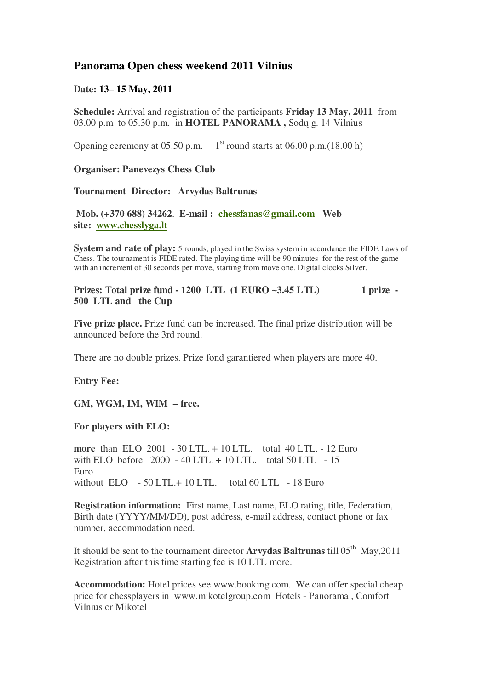## **Panorama Open chess weekend 2011 Vilnius**

## **Date: 13– 15 May, 2011**

**Schedule:** Arrival and registration of the participants **Friday 13 May, 2011** from 03.00 p.m to 05.30 p.m. in **HOTEL PANORAMA ,** Sodų g. 14 Vilnius

Opening ceremony at 05.50 p.m.  $1<sup>st</sup>$  round starts at 06.00 p.m.(18.00 h)

**Organiser: Panevezys Chess Club**

**Tournament Director: Arvydas Baltrunas**

**Mob. (+370 688) 34262**. **E-mail : chessfanas@gmail.com Web site: www.chesslyga.lt**

**System and rate of play:** 5 rounds, played in the Swiss system in accordance the FIDE Laws of Chess. The tournament is FIDE rated. The playing time will be 90 minutes for the rest of the game with an increment of 30 seconds per move, starting from move one. Digital clocks Silver.

## **Prizes: Total prize fund - 1200 LTL (1 EURO ~3.45 LTL) 1 prize - 500 LTL and the Cup**

**Five prize place.** Prize fund can be increased. The final prize distribution will be announced before the 3rd round.

There are no double prizes. Prize fond garantiered when players are more 40.

**Entry Fee:** 

**GM, WGM, IM, WIM – free.**

**For players with ELO:** 

**more** than ELO 2001 - 30 LTL. + 10 LTL. total 40 LTL. - 12 Euro with ELO before 2000 - 40 LTL. + 10 LTL. total 50 LTL - 15 Euro without ELO - 50 LTL.+ 10 LTL. total 60 LTL - 18 Euro

**Registration information:** First name, Last name, ELO rating, title, Federation, Birth date (YYYY/MM/DD), post address, e-mail address, contact phone or fax number, accommodation need.

It should be sent to the tournament director **Arvydas Baltrunas** till 05<sup>th</sup> May,2011 Registration after this time starting fee is 10 LTL more.

**Accommodation:** Hotel prices see www.booking.com. We can offer special cheap price for chessplayers in www.mikotelgroup.com Hotels - Panorama , Comfort Vilnius or Mikotel